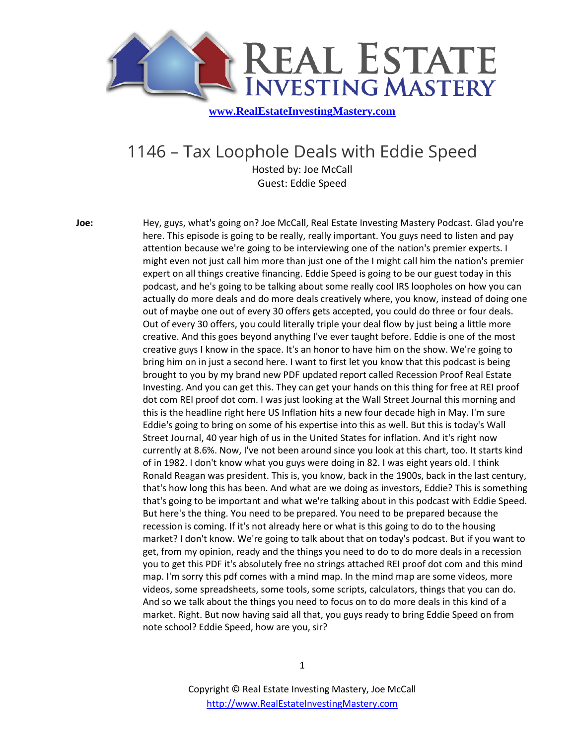

## 1146 – Tax Loophole Deals with Eddie Speed

Hosted by: Joe McCall Guest: Eddie Speed

**Joe:** Hey, guys, what's going on? Joe McCall, Real Estate Investing Mastery Podcast. Glad you're here. This episode is going to be really, really important. You guys need to listen and pay attention because we're going to be interviewing one of the nation's premier experts. I might even not just call him more than just one of the I might call him the nation's premier expert on all things creative financing. Eddie Speed is going to be our guest today in this podcast, and he's going to be talking about some really cool IRS loopholes on how you can actually do more deals and do more deals creatively where, you know, instead of doing one out of maybe one out of every 30 offers gets accepted, you could do three or four deals. Out of every 30 offers, you could literally triple your deal flow by just being a little more creative. And this goes beyond anything I've ever taught before. Eddie is one of the most creative guys I know in the space. It's an honor to have him on the show. We're going to bring him on in just a second here. I want to first let you know that this podcast is being brought to you by my brand new PDF updated report called Recession Proof Real Estate Investing. And you can get this. They can get your hands on this thing for free at REI proof dot com REI proof dot com. I was just looking at the Wall Street Journal this morning and this is the headline right here US Inflation hits a new four decade high in May. I'm sure Eddie's going to bring on some of his expertise into this as well. But this is today's Wall Street Journal, 40 year high of us in the United States for inflation. And it's right now currently at 8.6%. Now, I've not been around since you look at this chart, too. It starts kind of in 1982. I don't know what you guys were doing in 82. I was eight years old. I think Ronald Reagan was president. This is, you know, back in the 1900s, back in the last century, that's how long this has been. And what are we doing as investors, Eddie? This is something that's going to be important and what we're talking about in this podcast with Eddie Speed. But here's the thing. You need to be prepared. You need to be prepared because the recession is coming. If it's not already here or what is this going to do to the housing market? I don't know. We're going to talk about that on today's podcast. But if you want to get, from my opinion, ready and the things you need to do to do more deals in a recession you to get this PDF it's absolutely free no strings attached REI proof dot com and this mind map. I'm sorry this pdf comes with a mind map. In the mind map are some videos, more videos, some spreadsheets, some tools, some scripts, calculators, things that you can do. And so we talk about the things you need to focus on to do more deals in this kind of a market. Right. But now having said all that, you guys ready to bring Eddie Speed on from note school? Eddie Speed, how are you, sir?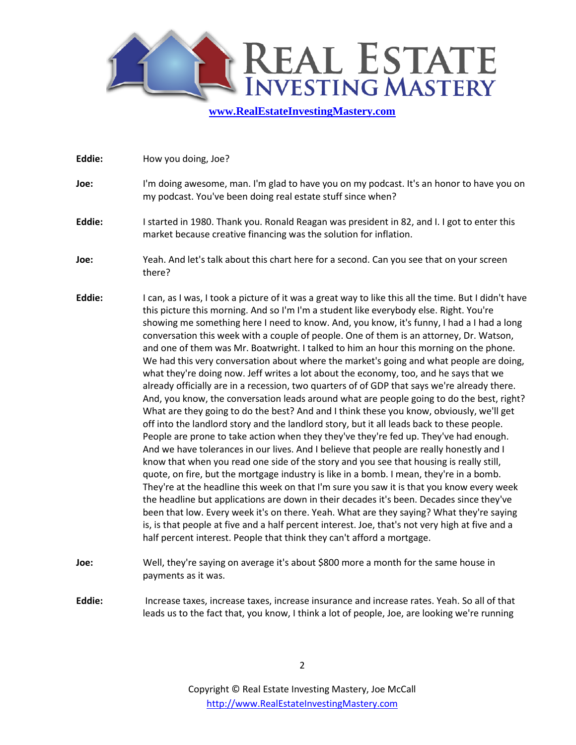

| Eddie: | How you doing, Joe? |
|--------|---------------------|
|--------|---------------------|

- **Joe:** I'm doing awesome, man. I'm glad to have you on my podcast. It's an honor to have you on my podcast. You've been doing real estate stuff since when?
- **Eddie:** I started in 1980. Thank you. Ronald Reagan was president in 82, and I. I got to enter this market because creative financing was the solution for inflation.
- **Joe:** Yeah. And let's talk about this chart here for a second. Can you see that on your screen there?
- **Eddie:** I can, as I was, I took a picture of it was a great way to like this all the time. But I didn't have this picture this morning. And so I'm I'm a student like everybody else. Right. You're showing me something here I need to know. And, you know, it's funny, I had a I had a long conversation this week with a couple of people. One of them is an attorney, Dr. Watson, and one of them was Mr. Boatwright. I talked to him an hour this morning on the phone. We had this very conversation about where the market's going and what people are doing, what they're doing now. Jeff writes a lot about the economy, too, and he says that we already officially are in a recession, two quarters of of GDP that says we're already there. And, you know, the conversation leads around what are people going to do the best, right? What are they going to do the best? And and I think these you know, obviously, we'll get off into the landlord story and the landlord story, but it all leads back to these people. People are prone to take action when they they've they're fed up. They've had enough. And we have tolerances in our lives. And I believe that people are really honestly and I know that when you read one side of the story and you see that housing is really still, quote, on fire, but the mortgage industry is like in a bomb. I mean, they're in a bomb. They're at the headline this week on that I'm sure you saw it is that you know every week the headline but applications are down in their decades it's been. Decades since they've been that low. Every week it's on there. Yeah. What are they saying? What they're saying is, is that people at five and a half percent interest. Joe, that's not very high at five and a half percent interest. People that think they can't afford a mortgage.
- **Joe:** Well, they're saying on average it's about \$800 more a month for the same house in payments as it was.
- **Eddie:** Increase taxes, increase taxes, increase insurance and increase rates. Yeah. So all of that leads us to the fact that, you know, I think a lot of people, Joe, are looking we're running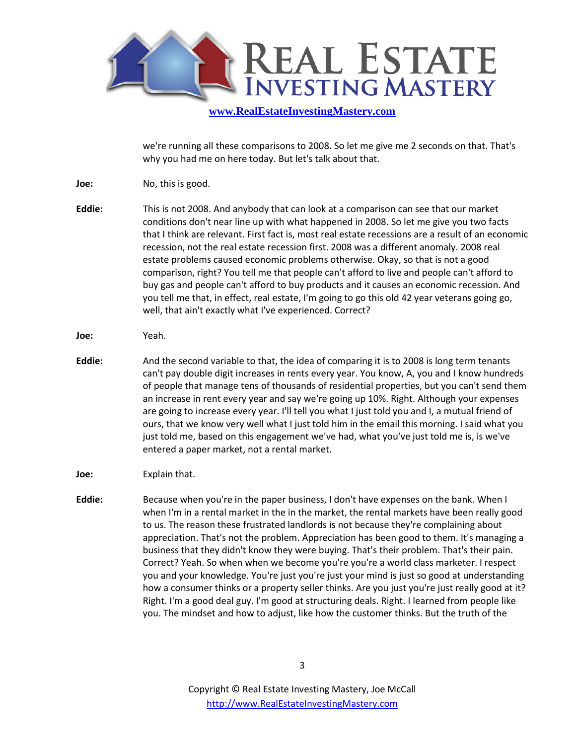

we're running all these comparisons to 2008. So let me give me 2 seconds on that. That's why you had me on here today. But let's talk about that.

- **Joe:** No, this is good.
- **Eddie:** This is not 2008. And anybody that can look at a comparison can see that our market conditions don't near line up with what happened in 2008. So let me give you two facts that I think are relevant. First fact is, most real estate recessions are a result of an economic recession, not the real estate recession first. 2008 was a different anomaly. 2008 real estate problems caused economic problems otherwise. Okay, so that is not a good comparison, right? You tell me that people can't afford to live and people can't afford to buy gas and people can't afford to buy products and it causes an economic recession. And you tell me that, in effect, real estate, I'm going to go this old 42 year veterans going go, well, that ain't exactly what I've experienced. Correct?
- **Joe:** Yeah.
- **Eddie:** And the second variable to that, the idea of comparing it is to 2008 is long term tenants can't pay double digit increases in rents every year. You know, A, you and I know hundreds of people that manage tens of thousands of residential properties, but you can't send them an increase in rent every year and say we're going up 10%. Right. Although your expenses are going to increase every year. I'll tell you what I just told you and I, a mutual friend of ours, that we know very well what I just told him in the email this morning. I said what you just told me, based on this engagement we've had, what you've just told me is, is we've entered a paper market, not a rental market.
- **Joe:** Explain that.
- **Eddie:** Because when you're in the paper business, I don't have expenses on the bank. When I when I'm in a rental market in the in the market, the rental markets have been really good to us. The reason these frustrated landlords is not because they're complaining about appreciation. That's not the problem. Appreciation has been good to them. It's managing a business that they didn't know they were buying. That's their problem. That's their pain. Correct? Yeah. So when when we become you're you're a world class marketer. I respect you and your knowledge. You're just you're just your mind is just so good at understanding how a consumer thinks or a property seller thinks. Are you just you're just really good at it? Right. I'm a good deal guy. I'm good at structuring deals. Right. I learned from people like you. The mindset and how to adjust, like how the customer thinks. But the truth of the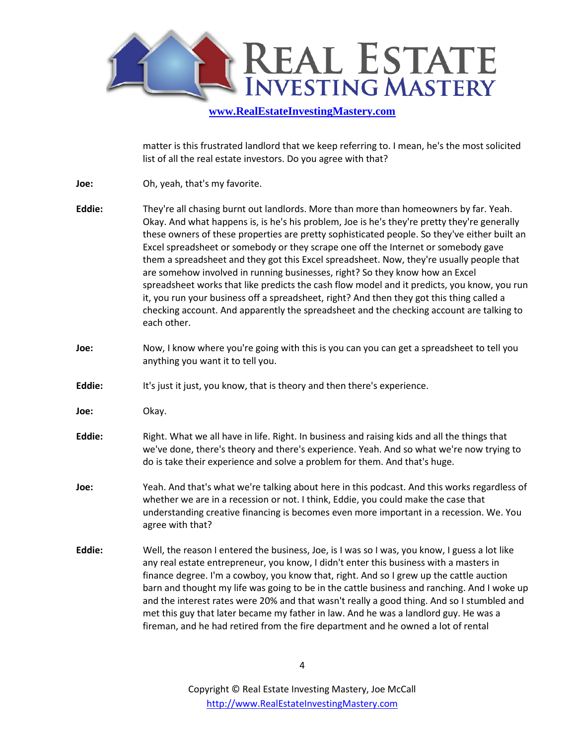

matter is this frustrated landlord that we keep referring to. I mean, he's the most solicited list of all the real estate investors. Do you agree with that?

- **Joe:** Oh, yeah, that's my favorite.
- **Eddie:** They're all chasing burnt out landlords. More than more than homeowners by far. Yeah. Okay. And what happens is, is he's his problem, Joe is he's they're pretty they're generally these owners of these properties are pretty sophisticated people. So they've either built an Excel spreadsheet or somebody or they scrape one off the Internet or somebody gave them a spreadsheet and they got this Excel spreadsheet. Now, they're usually people that are somehow involved in running businesses, right? So they know how an Excel spreadsheet works that like predicts the cash flow model and it predicts, you know, you run it, you run your business off a spreadsheet, right? And then they got this thing called a checking account. And apparently the spreadsheet and the checking account are talking to each other.
- **Joe:** Now, I know where you're going with this is you can you can get a spreadsheet to tell you anything you want it to tell you.
- **Eddie:** It's just it just, you know, that is theory and then there's experience.
- **Joe:** Okay.
- **Eddie:** Right. What we all have in life. Right. In business and raising kids and all the things that we've done, there's theory and there's experience. Yeah. And so what we're now trying to do is take their experience and solve a problem for them. And that's huge.
- **Joe:** Yeah. And that's what we're talking about here in this podcast. And this works regardless of whether we are in a recession or not. I think, Eddie, you could make the case that understanding creative financing is becomes even more important in a recession. We. You agree with that?
- **Eddie:** Well, the reason I entered the business, Joe, is I was so I was, you know, I guess a lot like any real estate entrepreneur, you know, I didn't enter this business with a masters in finance degree. I'm a cowboy, you know that, right. And so I grew up the cattle auction barn and thought my life was going to be in the cattle business and ranching. And I woke up and the interest rates were 20% and that wasn't really a good thing. And so I stumbled and met this guy that later became my father in law. And he was a landlord guy. He was a fireman, and he had retired from the fire department and he owned a lot of rental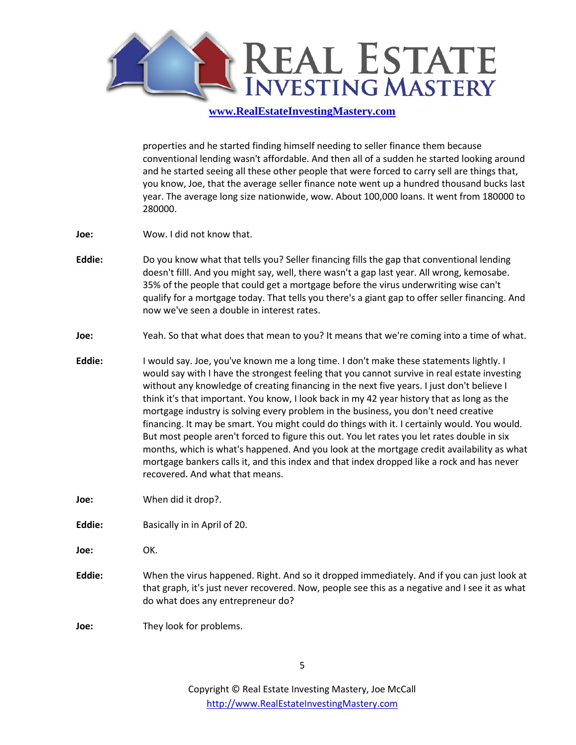

properties and he started finding himself needing to seller finance them because conventional lending wasn't affordable. And then all of a sudden he started looking around and he started seeing all these other people that were forced to carry sell are things that, you know, Joe, that the average seller finance note went up a hundred thousand bucks last year. The average long size nationwide, wow. About 100,000 loans. It went from 180000 to 280000.

- **Joe:** Wow. I did not know that.
- **Eddie:** Do you know what that tells you? Seller financing fills the gap that conventional lending doesn't filll. And you might say, well, there wasn't a gap last year. All wrong, kemosabe. 35% of the people that could get a mortgage before the virus underwriting wise can't qualify for a mortgage today. That tells you there's a giant gap to offer seller financing. And now we've seen a double in interest rates.
- **Joe:** Yeah. So that what does that mean to you? It means that we're coming into a time of what.
- **Eddie:** I would say. Joe, you've known me a long time. I don't make these statements lightly. I would say with I have the strongest feeling that you cannot survive in real estate investing without any knowledge of creating financing in the next five years. I just don't believe I think it's that important. You know, I look back in my 42 year history that as long as the mortgage industry is solving every problem in the business, you don't need creative financing. It may be smart. You might could do things with it. I certainly would. You would. But most people aren't forced to figure this out. You let rates you let rates double in six months, which is what's happened. And you look at the mortgage credit availability as what mortgage bankers calls it, and this index and that index dropped like a rock and has never recovered. And what that means.
- **Joe:** When did it drop?.
- **Eddie:** Basically in in April of 20.
- **Joe:** OK.
- **Eddie:** When the virus happened. Right. And so it dropped immediately. And if you can just look at that graph, it's just never recovered. Now, people see this as a negative and I see it as what do what does any entrepreneur do?
- **Joe:** They look for problems.

5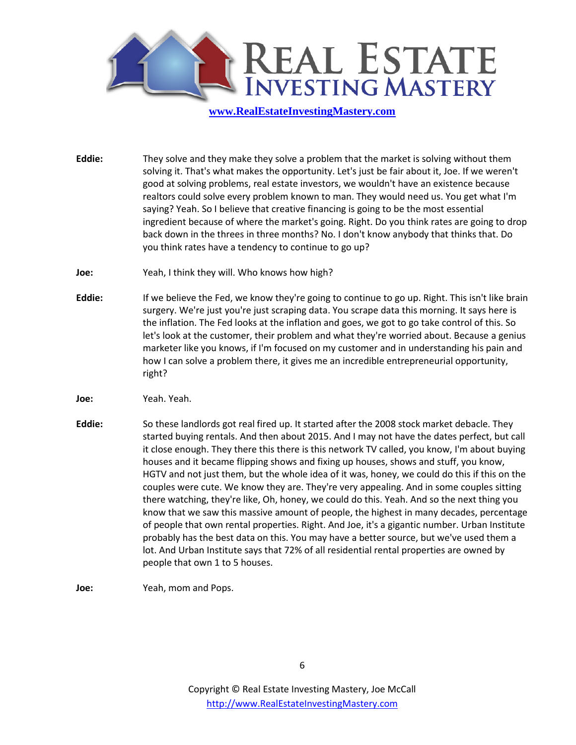

**Eddie:** They solve and they make they solve a problem that the market is solving without them solving it. That's what makes the opportunity. Let's just be fair about it, Joe. If we weren't good at solving problems, real estate investors, we wouldn't have an existence because realtors could solve every problem known to man. They would need us. You get what I'm saying? Yeah. So I believe that creative financing is going to be the most essential ingredient because of where the market's going. Right. Do you think rates are going to drop back down in the threes in three months? No. I don't know anybody that thinks that. Do you think rates have a tendency to continue to go up?

- **Joe:** Yeah, I think they will. Who knows how high?
- **Eddie:** If we believe the Fed, we know they're going to continue to go up. Right. This isn't like brain surgery. We're just you're just scraping data. You scrape data this morning. It says here is the inflation. The Fed looks at the inflation and goes, we got to go take control of this. So let's look at the customer, their problem and what they're worried about. Because a genius marketer like you knows, if I'm focused on my customer and in understanding his pain and how I can solve a problem there, it gives me an incredible entrepreneurial opportunity, right?
- **Joe:** Yeah. Yeah.
- **Eddie:** So these landlords got real fired up. It started after the 2008 stock market debacle. They started buying rentals. And then about 2015. And I may not have the dates perfect, but call it close enough. They there this there is this network TV called, you know, I'm about buying houses and it became flipping shows and fixing up houses, shows and stuff, you know, HGTV and not just them, but the whole idea of it was, honey, we could do this if this on the couples were cute. We know they are. They're very appealing. And in some couples sitting there watching, they're like, Oh, honey, we could do this. Yeah. And so the next thing you know that we saw this massive amount of people, the highest in many decades, percentage of people that own rental properties. Right. And Joe, it's a gigantic number. Urban Institute probably has the best data on this. You may have a better source, but we've used them a lot. And Urban Institute says that 72% of all residential rental properties are owned by people that own 1 to 5 houses.

**Joe:** Yeah, mom and Pops.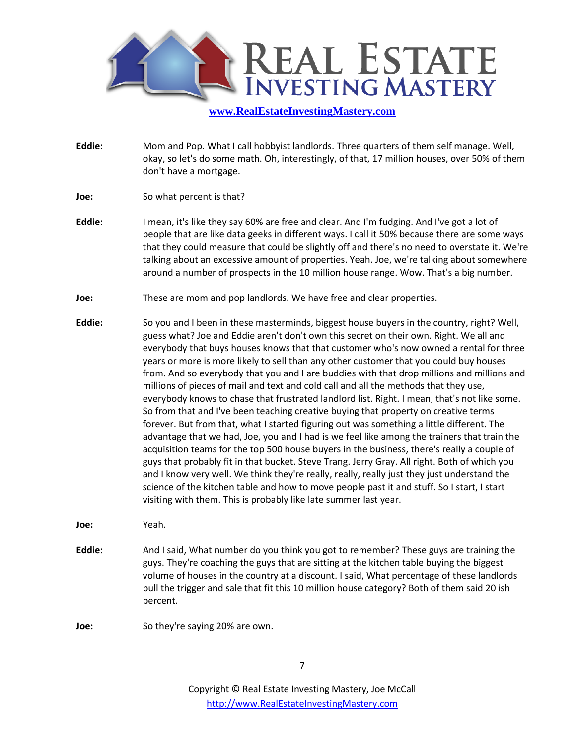

- **Eddie:** Mom and Pop. What I call hobbyist landlords. Three quarters of them self manage. Well, okay, so let's do some math. Oh, interestingly, of that, 17 million houses, over 50% of them don't have a mortgage.
- **Joe:** So what percent is that?
- **Eddie:** I mean, it's like they say 60% are free and clear. And I'm fudging. And I've got a lot of people that are like data geeks in different ways. I call it 50% because there are some ways that they could measure that could be slightly off and there's no need to overstate it. We're talking about an excessive amount of properties. Yeah. Joe, we're talking about somewhere around a number of prospects in the 10 million house range. Wow. That's a big number.
- **Joe:** These are mom and pop landlords. We have free and clear properties.
- **Eddie:** So you and I been in these masterminds, biggest house buyers in the country, right? Well, guess what? Joe and Eddie aren't don't own this secret on their own. Right. We all and everybody that buys houses knows that that customer who's now owned a rental for three years or more is more likely to sell than any other customer that you could buy houses from. And so everybody that you and I are buddies with that drop millions and millions and millions of pieces of mail and text and cold call and all the methods that they use, everybody knows to chase that frustrated landlord list. Right. I mean, that's not like some. So from that and I've been teaching creative buying that property on creative terms forever. But from that, what I started figuring out was something a little different. The advantage that we had, Joe, you and I had is we feel like among the trainers that train the acquisition teams for the top 500 house buyers in the business, there's really a couple of guys that probably fit in that bucket. Steve Trang. Jerry Gray. All right. Both of which you and I know very well. We think they're really, really, really just they just understand the science of the kitchen table and how to move people past it and stuff. So I start, I start visiting with them. This is probably like late summer last year.
- **Joe:** Yeah.
- **Eddie:** And I said, What number do you think you got to remember? These guys are training the guys. They're coaching the guys that are sitting at the kitchen table buying the biggest volume of houses in the country at a discount. I said, What percentage of these landlords pull the trigger and sale that fit this 10 million house category? Both of them said 20 ish percent.
- **Joe:** So they're saying 20% are own.

7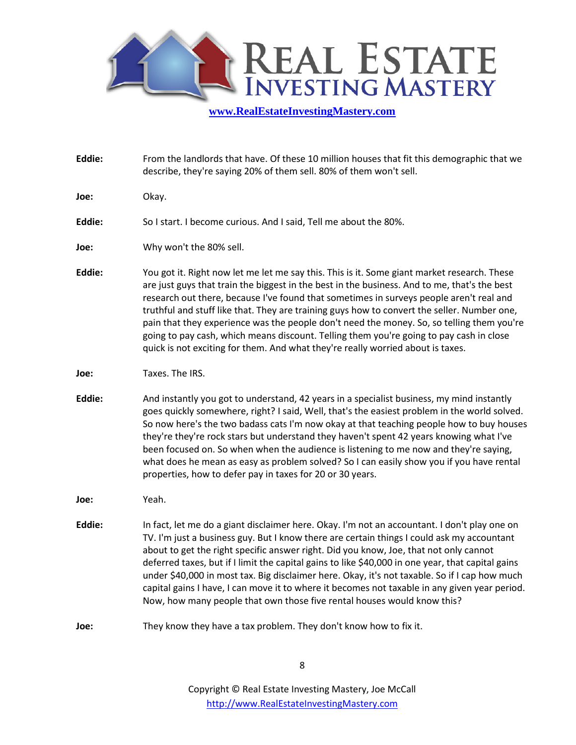

**Eddie:** From the landlords that have. Of these 10 million houses that fit this demographic that we describe, they're saying 20% of them sell. 80% of them won't sell.

**Joe:** Okay.

- **Eddie:** So I start. I become curious. And I said, Tell me about the 80%.
- **Joe:** Why won't the 80% sell.
- **Eddie:** You got it. Right now let me let me say this. This is it. Some giant market research. These are just guys that train the biggest in the best in the business. And to me, that's the best research out there, because I've found that sometimes in surveys people aren't real and truthful and stuff like that. They are training guys how to convert the seller. Number one, pain that they experience was the people don't need the money. So, so telling them you're going to pay cash, which means discount. Telling them you're going to pay cash in close quick is not exciting for them. And what they're really worried about is taxes.
- **Joe:** Taxes. The IRS.
- **Eddie:** And instantly you got to understand, 42 years in a specialist business, my mind instantly goes quickly somewhere, right? I said, Well, that's the easiest problem in the world solved. So now here's the two badass cats I'm now okay at that teaching people how to buy houses they're they're rock stars but understand they haven't spent 42 years knowing what I've been focused on. So when when the audience is listening to me now and they're saying, what does he mean as easy as problem solved? So I can easily show you if you have rental properties, how to defer pay in taxes for 20 or 30 years.
- **Joe:** Yeah.
- **Eddie:** In fact, let me do a giant disclaimer here. Okay. I'm not an accountant. I don't play one on TV. I'm just a business guy. But I know there are certain things I could ask my accountant about to get the right specific answer right. Did you know, Joe, that not only cannot deferred taxes, but if I limit the capital gains to like \$40,000 in one year, that capital gains under \$40,000 in most tax. Big disclaimer here. Okay, it's not taxable. So if I cap how much capital gains I have, I can move it to where it becomes not taxable in any given year period. Now, how many people that own those five rental houses would know this?
- **Joe:** They know they have a tax problem. They don't know how to fix it.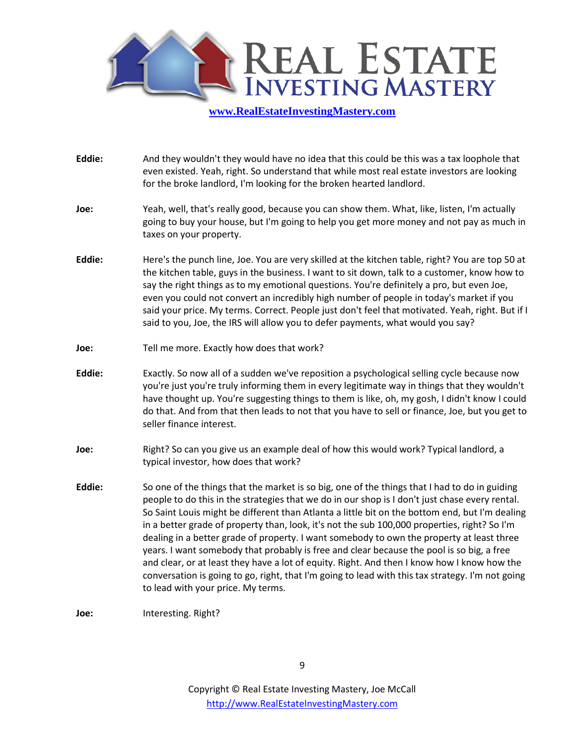

- **Eddie:** And they wouldn't they would have no idea that this could be this was a tax loophole that even existed. Yeah, right. So understand that while most real estate investors are looking for the broke landlord, I'm looking for the broken hearted landlord.
- **Joe:** Yeah, well, that's really good, because you can show them. What, like, listen, I'm actually going to buy your house, but I'm going to help you get more money and not pay as much in taxes on your property.
- **Eddie:** Here's the punch line, Joe. You are very skilled at the kitchen table, right? You are top 50 at the kitchen table, guys in the business. I want to sit down, talk to a customer, know how to say the right things as to my emotional questions. You're definitely a pro, but even Joe, even you could not convert an incredibly high number of people in today's market if you said your price. My terms. Correct. People just don't feel that motivated. Yeah, right. But if I said to you, Joe, the IRS will allow you to defer payments, what would you say?
- **Joe:** Tell me more. Exactly how does that work?
- **Eddie:** Exactly. So now all of a sudden we've reposition a psychological selling cycle because now you're just you're truly informing them in every legitimate way in things that they wouldn't have thought up. You're suggesting things to them is like, oh, my gosh, I didn't know I could do that. And from that then leads to not that you have to sell or finance, Joe, but you get to seller finance interest.
- **Joe:** Right? So can you give us an example deal of how this would work? Typical landlord, a typical investor, how does that work?
- **Eddie:** So one of the things that the market is so big, one of the things that I had to do in guiding people to do this in the strategies that we do in our shop is I don't just chase every rental. So Saint Louis might be different than Atlanta a little bit on the bottom end, but I'm dealing in a better grade of property than, look, it's not the sub 100,000 properties, right? So I'm dealing in a better grade of property. I want somebody to own the property at least three years. I want somebody that probably is free and clear because the pool is so big, a free and clear, or at least they have a lot of equity. Right. And then I know how I know how the conversation is going to go, right, that I'm going to lead with this tax strategy. I'm not going to lead with your price. My terms.
- **Joe:** Interesting. Right?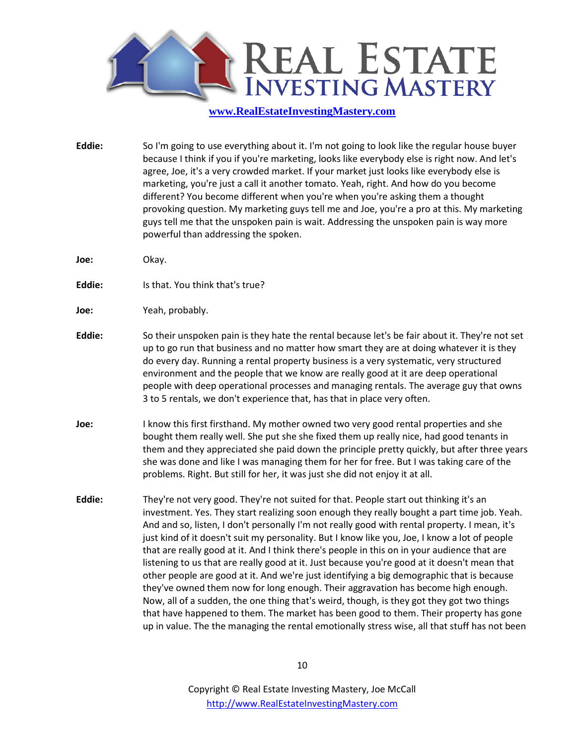

- **Eddie:** So I'm going to use everything about it. I'm not going to look like the regular house buyer because I think if you if you're marketing, looks like everybody else is right now. And let's agree, Joe, it's a very crowded market. If your market just looks like everybody else is marketing, you're just a call it another tomato. Yeah, right. And how do you become different? You become different when you're when you're asking them a thought provoking question. My marketing guys tell me and Joe, you're a pro at this. My marketing guys tell me that the unspoken pain is wait. Addressing the unspoken pain is way more powerful than addressing the spoken.
- **Joe:** Okay.
- **Eddie:** Is that. You think that's true?
- **Joe:** Yeah, probably.
- **Eddie:** So their unspoken pain is they hate the rental because let's be fair about it. They're not set up to go run that business and no matter how smart they are at doing whatever it is they do every day. Running a rental property business is a very systematic, very structured environment and the people that we know are really good at it are deep operational people with deep operational processes and managing rentals. The average guy that owns 3 to 5 rentals, we don't experience that, has that in place very often.
- **Joe:** I know this first firsthand. My mother owned two very good rental properties and she bought them really well. She put she she fixed them up really nice, had good tenants in them and they appreciated she paid down the principle pretty quickly, but after three years she was done and like I was managing them for her for free. But I was taking care of the problems. Right. But still for her, it was just she did not enjoy it at all.
- **Eddie:** They're not very good. They're not suited for that. People start out thinking it's an investment. Yes. They start realizing soon enough they really bought a part time job. Yeah. And and so, listen, I don't personally I'm not really good with rental property. I mean, it's just kind of it doesn't suit my personality. But I know like you, Joe, I know a lot of people that are really good at it. And I think there's people in this on in your audience that are listening to us that are really good at it. Just because you're good at it doesn't mean that other people are good at it. And we're just identifying a big demographic that is because they've owned them now for long enough. Their aggravation has become high enough. Now, all of a sudden, the one thing that's weird, though, is they got they got two things that have happened to them. The market has been good to them. Their property has gone up in value. The the managing the rental emotionally stress wise, all that stuff has not been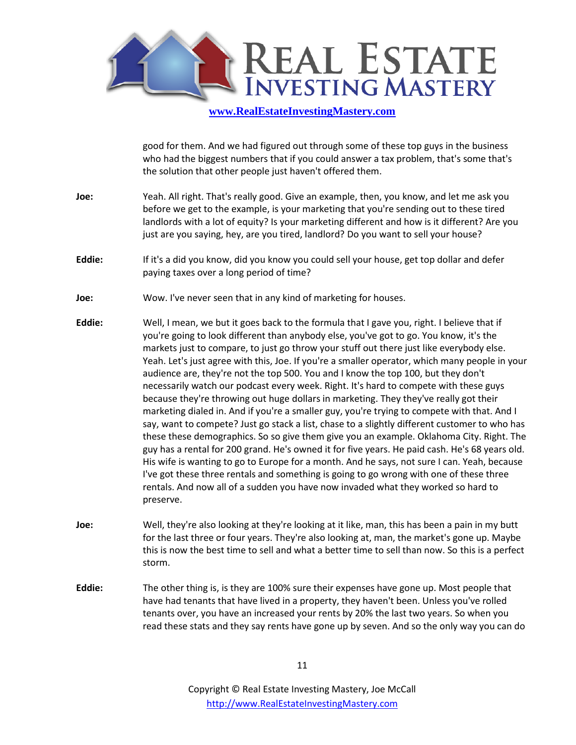

good for them. And we had figured out through some of these top guys in the business who had the biggest numbers that if you could answer a tax problem, that's some that's the solution that other people just haven't offered them.

- **Joe:** Yeah. All right. That's really good. Give an example, then, you know, and let me ask you before we get to the example, is your marketing that you're sending out to these tired landlords with a lot of equity? Is your marketing different and how is it different? Are you just are you saying, hey, are you tired, landlord? Do you want to sell your house?
- **Eddie:** If it's a did you know, did you know you could sell your house, get top dollar and defer paying taxes over a long period of time?
- **Joe:** Wow. I've never seen that in any kind of marketing for houses.
- **Eddie:** Well, I mean, we but it goes back to the formula that I gave you, right. I believe that if you're going to look different than anybody else, you've got to go. You know, it's the markets just to compare, to just go throw your stuff out there just like everybody else. Yeah. Let's just agree with this, Joe. If you're a smaller operator, which many people in your audience are, they're not the top 500. You and I know the top 100, but they don't necessarily watch our podcast every week. Right. It's hard to compete with these guys because they're throwing out huge dollars in marketing. They they've really got their marketing dialed in. And if you're a smaller guy, you're trying to compete with that. And I say, want to compete? Just go stack a list, chase to a slightly different customer to who has these these demographics. So so give them give you an example. Oklahoma City. Right. The guy has a rental for 200 grand. He's owned it for five years. He paid cash. He's 68 years old. His wife is wanting to go to Europe for a month. And he says, not sure I can. Yeah, because I've got these three rentals and something is going to go wrong with one of these three rentals. And now all of a sudden you have now invaded what they worked so hard to preserve.
- **Joe:** Well, they're also looking at they're looking at it like, man, this has been a pain in my butt for the last three or four years. They're also looking at, man, the market's gone up. Maybe this is now the best time to sell and what a better time to sell than now. So this is a perfect storm.
- **Eddie:** The other thing is, is they are 100% sure their expenses have gone up. Most people that have had tenants that have lived in a property, they haven't been. Unless you've rolled tenants over, you have an increased your rents by 20% the last two years. So when you read these stats and they say rents have gone up by seven. And so the only way you can do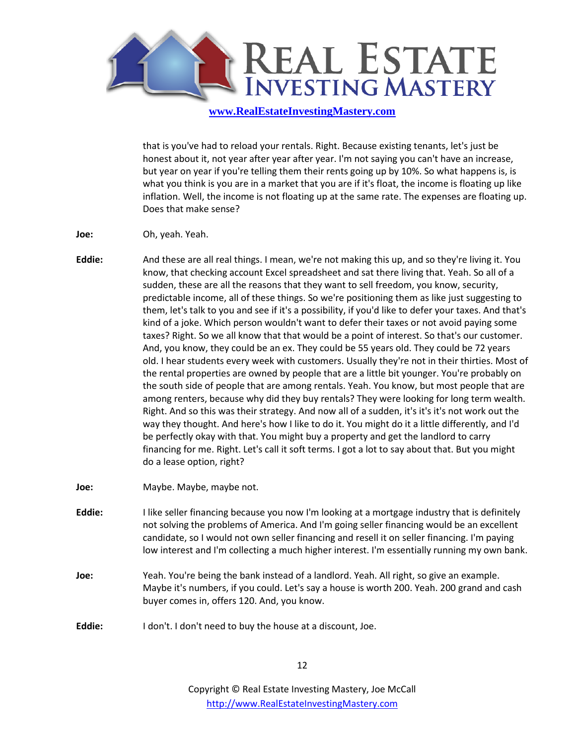

that is you've had to reload your rentals. Right. Because existing tenants, let's just be honest about it, not year after year after year. I'm not saying you can't have an increase, but year on year if you're telling them their rents going up by 10%. So what happens is, is what you think is you are in a market that you are if it's float, the income is floating up like inflation. Well, the income is not floating up at the same rate. The expenses are floating up. Does that make sense?

- **Joe:** Oh, yeah. Yeah.
- **Eddie:** And these are all real things. I mean, we're not making this up, and so they're living it. You know, that checking account Excel spreadsheet and sat there living that. Yeah. So all of a sudden, these are all the reasons that they want to sell freedom, you know, security, predictable income, all of these things. So we're positioning them as like just suggesting to them, let's talk to you and see if it's a possibility, if you'd like to defer your taxes. And that's kind of a joke. Which person wouldn't want to defer their taxes or not avoid paying some taxes? Right. So we all know that that would be a point of interest. So that's our customer. And, you know, they could be an ex. They could be 55 years old. They could be 72 years old. I hear students every week with customers. Usually they're not in their thirties. Most of the rental properties are owned by people that are a little bit younger. You're probably on the south side of people that are among rentals. Yeah. You know, but most people that are among renters, because why did they buy rentals? They were looking for long term wealth. Right. And so this was their strategy. And now all of a sudden, it's it's it's not work out the way they thought. And here's how I like to do it. You might do it a little differently, and I'd be perfectly okay with that. You might buy a property and get the landlord to carry financing for me. Right. Let's call it soft terms. I got a lot to say about that. But you might do a lease option, right?
- **Joe:** Maybe. Maybe, maybe not.
- **Eddie:** I like seller financing because you now I'm looking at a mortgage industry that is definitely not solving the problems of America. And I'm going seller financing would be an excellent candidate, so I would not own seller financing and resell it on seller financing. I'm paying low interest and I'm collecting a much higher interest. I'm essentially running my own bank.
- **Joe:** Yeah. You're being the bank instead of a landlord. Yeah. All right, so give an example. Maybe it's numbers, if you could. Let's say a house is worth 200. Yeah. 200 grand and cash buyer comes in, offers 120. And, you know.
- **Eddie:** I don't. I don't need to buy the house at a discount, Joe.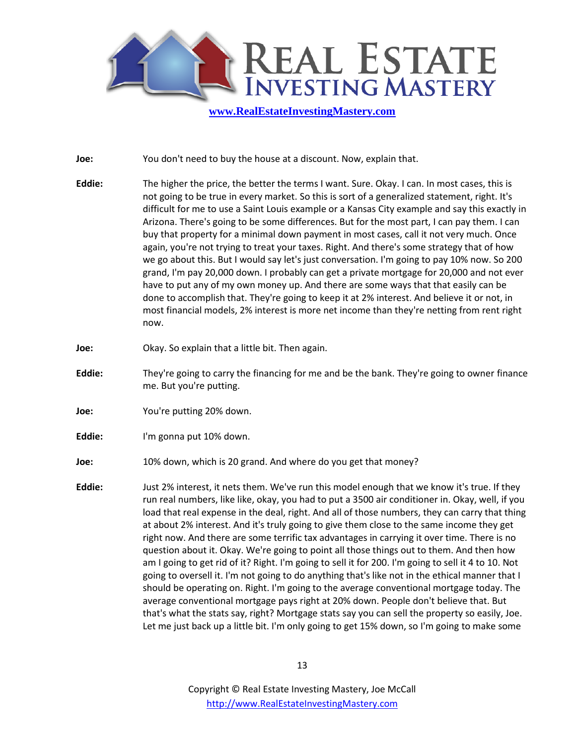

**Joe:** You don't need to buy the house at a discount. Now, explain that.

- **Eddie:** The higher the price, the better the terms I want. Sure. Okay. I can. In most cases, this is not going to be true in every market. So this is sort of a generalized statement, right. It's difficult for me to use a Saint Louis example or a Kansas City example and say this exactly in Arizona. There's going to be some differences. But for the most part, I can pay them. I can buy that property for a minimal down payment in most cases, call it not very much. Once again, you're not trying to treat your taxes. Right. And there's some strategy that of how we go about this. But I would say let's just conversation. I'm going to pay 10% now. So 200 grand, I'm pay 20,000 down. I probably can get a private mortgage for 20,000 and not ever have to put any of my own money up. And there are some ways that that easily can be done to accomplish that. They're going to keep it at 2% interest. And believe it or not, in most financial models, 2% interest is more net income than they're netting from rent right now.
- **Joe:** Okay. So explain that a little bit. Then again.
- **Eddie:** They're going to carry the financing for me and be the bank. They're going to owner finance me. But you're putting.
- **Joe: You're putting 20% down.**
- **Eddie:** I'm gonna put 10% down.
- **Joe:** 10% down, which is 20 grand. And where do you get that money?
- **Eddie:** Just 2% interest, it nets them. We've run this model enough that we know it's true. If they run real numbers, like like, okay, you had to put a 3500 air conditioner in. Okay, well, if you load that real expense in the deal, right. And all of those numbers, they can carry that thing at about 2% interest. And it's truly going to give them close to the same income they get right now. And there are some terrific tax advantages in carrying it over time. There is no question about it. Okay. We're going to point all those things out to them. And then how am I going to get rid of it? Right. I'm going to sell it for 200. I'm going to sell it 4 to 10. Not going to oversell it. I'm not going to do anything that's like not in the ethical manner that I should be operating on. Right. I'm going to the average conventional mortgage today. The average conventional mortgage pays right at 20% down. People don't believe that. But that's what the stats say, right? Mortgage stats say you can sell the property so easily, Joe. Let me just back up a little bit. I'm only going to get 15% down, so I'm going to make some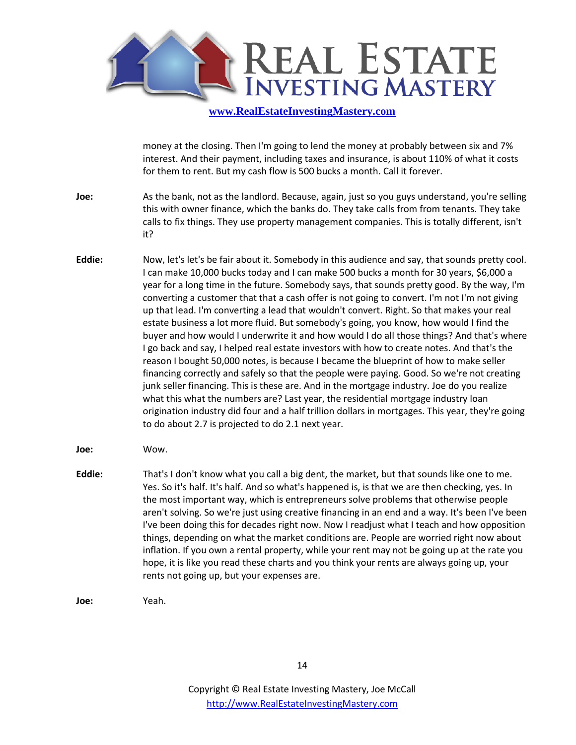

money at the closing. Then I'm going to lend the money at probably between six and 7% interest. And their payment, including taxes and insurance, is about 110% of what it costs for them to rent. But my cash flow is 500 bucks a month. Call it forever.

- **Joe:** As the bank, not as the landlord. Because, again, just so you guys understand, you're selling this with owner finance, which the banks do. They take calls from from tenants. They take calls to fix things. They use property management companies. This is totally different, isn't it?
- **Eddie:** Now, let's let's be fair about it. Somebody in this audience and say, that sounds pretty cool. I can make 10,000 bucks today and I can make 500 bucks a month for 30 years, \$6,000 a year for a long time in the future. Somebody says, that sounds pretty good. By the way, I'm converting a customer that that a cash offer is not going to convert. I'm not I'm not giving up that lead. I'm converting a lead that wouldn't convert. Right. So that makes your real estate business a lot more fluid. But somebody's going, you know, how would I find the buyer and how would I underwrite it and how would I do all those things? And that's where I go back and say, I helped real estate investors with how to create notes. And that's the reason I bought 50,000 notes, is because I became the blueprint of how to make seller financing correctly and safely so that the people were paying. Good. So we're not creating junk seller financing. This is these are. And in the mortgage industry. Joe do you realize what this what the numbers are? Last year, the residential mortgage industry loan origination industry did four and a half trillion dollars in mortgages. This year, they're going to do about 2.7 is projected to do 2.1 next year.
- **Joe:** Wow.
- **Eddie:** That's I don't know what you call a big dent, the market, but that sounds like one to me. Yes. So it's half. It's half. And so what's happened is, is that we are then checking, yes. In the most important way, which is entrepreneurs solve problems that otherwise people aren't solving. So we're just using creative financing in an end and a way. It's been I've been I've been doing this for decades right now. Now I readjust what I teach and how opposition things, depending on what the market conditions are. People are worried right now about inflation. If you own a rental property, while your rent may not be going up at the rate you hope, it is like you read these charts and you think your rents are always going up, your rents not going up, but your expenses are.
- **Joe:** Yeah.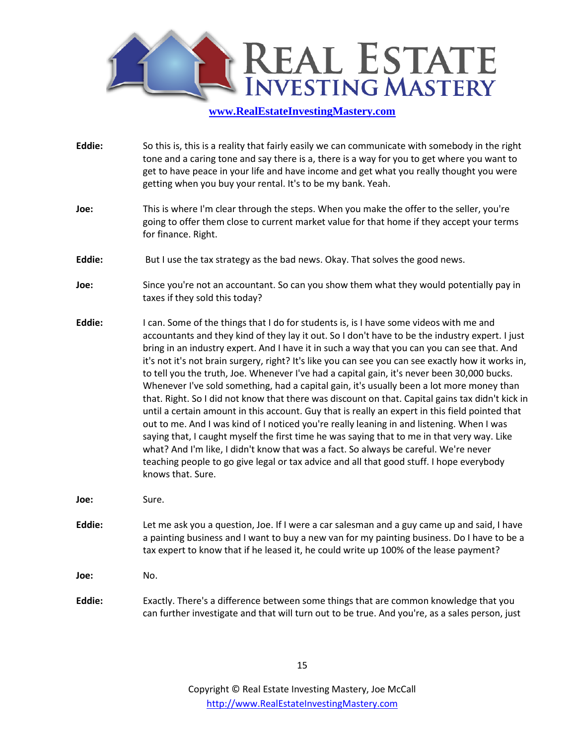

- **Eddie:** So this is, this is a reality that fairly easily we can communicate with somebody in the right tone and a caring tone and say there is a, there is a way for you to get where you want to get to have peace in your life and have income and get what you really thought you were getting when you buy your rental. It's to be my bank. Yeah.
- **Joe:** This is where I'm clear through the steps. When you make the offer to the seller, you're going to offer them close to current market value for that home if they accept your terms for finance. Right.
- **Eddie:** But I use the tax strategy as the bad news. Okay. That solves the good news.
- **Joe:** Since you're not an accountant. So can you show them what they would potentially pay in taxes if they sold this today?
- **Eddie:** I can. Some of the things that I do for students is, is I have some videos with me and accountants and they kind of they lay it out. So I don't have to be the industry expert. I just bring in an industry expert. And I have it in such a way that you can you can see that. And it's not it's not brain surgery, right? It's like you can see you can see exactly how it works in, to tell you the truth, Joe. Whenever I've had a capital gain, it's never been 30,000 bucks. Whenever I've sold something, had a capital gain, it's usually been a lot more money than that. Right. So I did not know that there was discount on that. Capital gains tax didn't kick in until a certain amount in this account. Guy that is really an expert in this field pointed that out to me. And I was kind of I noticed you're really leaning in and listening. When I was saying that, I caught myself the first time he was saying that to me in that very way. Like what? And I'm like, I didn't know that was a fact. So always be careful. We're never teaching people to go give legal or tax advice and all that good stuff. I hope everybody knows that. Sure.
- **Joe:** Sure.
- **Eddie:** Let me ask you a question, Joe. If I were a car salesman and a guy came up and said, I have a painting business and I want to buy a new van for my painting business. Do I have to be a tax expert to know that if he leased it, he could write up 100% of the lease payment?

**Joe:** No.

**Eddie:** Exactly. There's a difference between some things that are common knowledge that you can further investigate and that will turn out to be true. And you're, as a sales person, just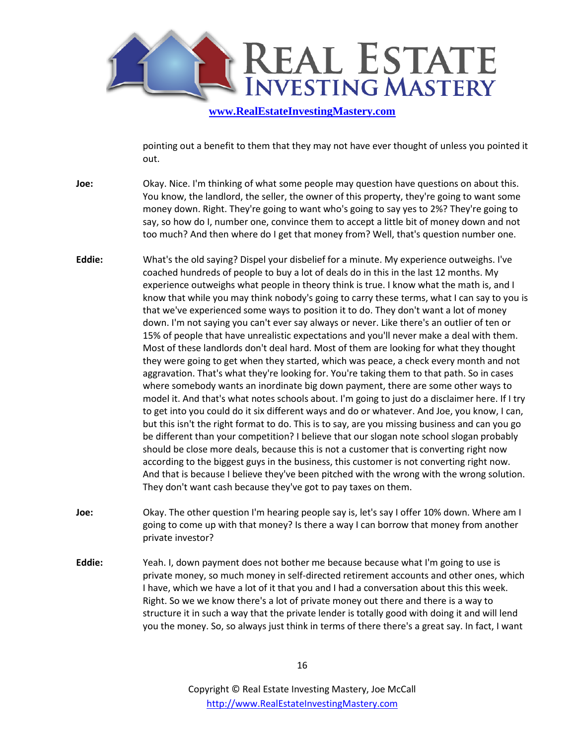

pointing out a benefit to them that they may not have ever thought of unless you pointed it out.

- **Joe:** Okay. Nice. I'm thinking of what some people may question have questions on about this. You know, the landlord, the seller, the owner of this property, they're going to want some money down. Right. They're going to want who's going to say yes to 2%? They're going to say, so how do I, number one, convince them to accept a little bit of money down and not too much? And then where do I get that money from? Well, that's question number one.
- **Eddie:** What's the old saying? Dispel your disbelief for a minute. My experience outweighs. I've coached hundreds of people to buy a lot of deals do in this in the last 12 months. My experience outweighs what people in theory think is true. I know what the math is, and I know that while you may think nobody's going to carry these terms, what I can say to you is that we've experienced some ways to position it to do. They don't want a lot of money down. I'm not saying you can't ever say always or never. Like there's an outlier of ten or 15% of people that have unrealistic expectations and you'll never make a deal with them. Most of these landlords don't deal hard. Most of them are looking for what they thought they were going to get when they started, which was peace, a check every month and not aggravation. That's what they're looking for. You're taking them to that path. So in cases where somebody wants an inordinate big down payment, there are some other ways to model it. And that's what notes schools about. I'm going to just do a disclaimer here. If I try to get into you could do it six different ways and do or whatever. And Joe, you know, I can, but this isn't the right format to do. This is to say, are you missing business and can you go be different than your competition? I believe that our slogan note school slogan probably should be close more deals, because this is not a customer that is converting right now according to the biggest guys in the business, this customer is not converting right now. And that is because I believe they've been pitched with the wrong with the wrong solution. They don't want cash because they've got to pay taxes on them.
- **Joe:** Okay. The other question I'm hearing people say is, let's say I offer 10% down. Where am I going to come up with that money? Is there a way I can borrow that money from another private investor?
- **Eddie:** Yeah. I, down payment does not bother me because because what I'm going to use is private money, so much money in self-directed retirement accounts and other ones, which I have, which we have a lot of it that you and I had a conversation about this this week. Right. So we we know there's a lot of private money out there and there is a way to structure it in such a way that the private lender is totally good with doing it and will lend you the money. So, so always just think in terms of there there's a great say. In fact, I want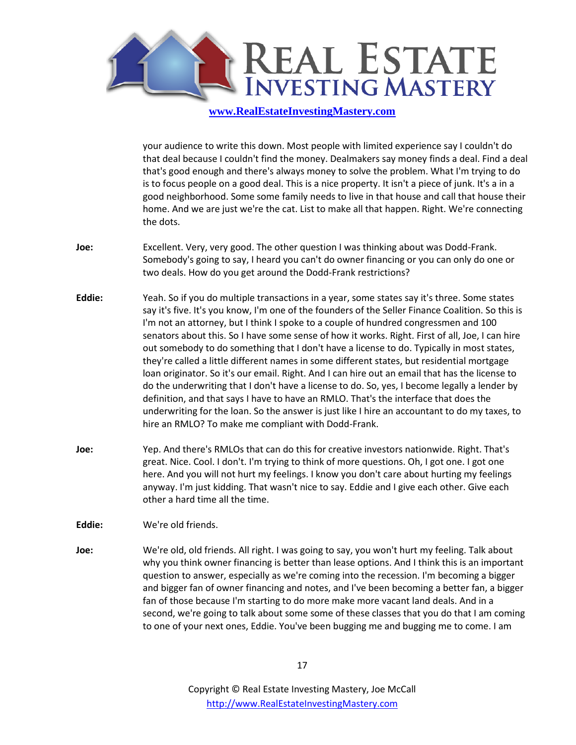

your audience to write this down. Most people with limited experience say I couldn't do that deal because I couldn't find the money. Dealmakers say money finds a deal. Find a deal that's good enough and there's always money to solve the problem. What I'm trying to do is to focus people on a good deal. This is a nice property. It isn't a piece of junk. It's a in a good neighborhood. Some some family needs to live in that house and call that house their home. And we are just we're the cat. List to make all that happen. Right. We're connecting the dots.

- **Joe:** Excellent. Very, very good. The other question I was thinking about was Dodd-Frank. Somebody's going to say, I heard you can't do owner financing or you can only do one or two deals. How do you get around the Dodd-Frank restrictions?
- **Eddie:** Yeah. So if you do multiple transactions in a year, some states say it's three. Some states say it's five. It's you know, I'm one of the founders of the Seller Finance Coalition. So this is I'm not an attorney, but I think I spoke to a couple of hundred congressmen and 100 senators about this. So I have some sense of how it works. Right. First of all, Joe, I can hire out somebody to do something that I don't have a license to do. Typically in most states, they're called a little different names in some different states, but residential mortgage loan originator. So it's our email. Right. And I can hire out an email that has the license to do the underwriting that I don't have a license to do. So, yes, I become legally a lender by definition, and that says I have to have an RMLO. That's the interface that does the underwriting for the loan. So the answer is just like I hire an accountant to do my taxes, to hire an RMLO? To make me compliant with Dodd-Frank.
- **Joe:** Yep. And there's RMLOs that can do this for creative investors nationwide. Right. That's great. Nice. Cool. I don't. I'm trying to think of more questions. Oh, I got one. I got one here. And you will not hurt my feelings. I know you don't care about hurting my feelings anyway. I'm just kidding. That wasn't nice to say. Eddie and I give each other. Give each other a hard time all the time.

**Eddie:** We're old friends.

**Joe:** We're old, old friends. All right. I was going to say, you won't hurt my feeling. Talk about why you think owner financing is better than lease options. And I think this is an important question to answer, especially as we're coming into the recession. I'm becoming a bigger and bigger fan of owner financing and notes, and I've been becoming a better fan, a bigger fan of those because I'm starting to do more make more vacant land deals. And in a second, we're going to talk about some some of these classes that you do that I am coming to one of your next ones, Eddie. You've been bugging me and bugging me to come. I am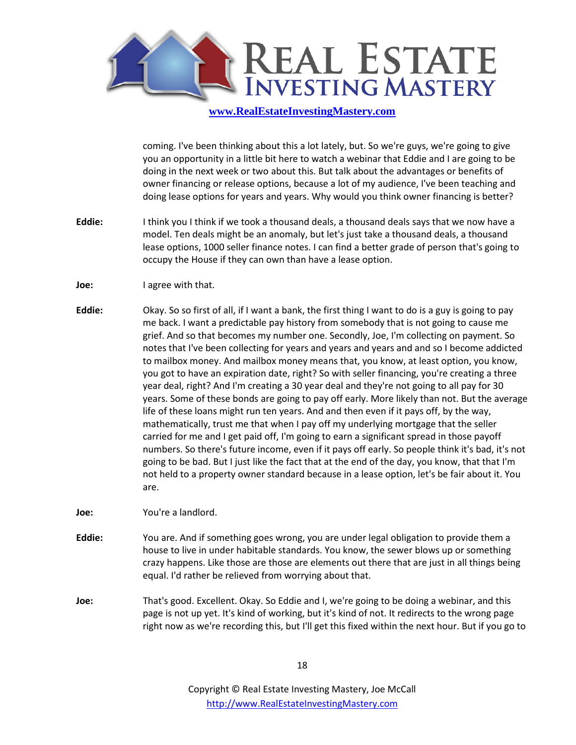

coming. I've been thinking about this a lot lately, but. So we're guys, we're going to give you an opportunity in a little bit here to watch a webinar that Eddie and I are going to be doing in the next week or two about this. But talk about the advantages or benefits of owner financing or release options, because a lot of my audience, I've been teaching and doing lease options for years and years. Why would you think owner financing is better?

- **Eddie:** I think you I think if we took a thousand deals, a thousand deals says that we now have a model. Ten deals might be an anomaly, but let's just take a thousand deals, a thousand lease options, 1000 seller finance notes. I can find a better grade of person that's going to occupy the House if they can own than have a lease option.
- **Joe:** I agree with that.
- **Eddie:** Okay. So so first of all, if I want a bank, the first thing I want to do is a guy is going to pay me back. I want a predictable pay history from somebody that is not going to cause me grief. And so that becomes my number one. Secondly, Joe, I'm collecting on payment. So notes that I've been collecting for years and years and years and and so I become addicted to mailbox money. And mailbox money means that, you know, at least option, you know, you got to have an expiration date, right? So with seller financing, you're creating a three year deal, right? And I'm creating a 30 year deal and they're not going to all pay for 30 years. Some of these bonds are going to pay off early. More likely than not. But the average life of these loans might run ten years. And and then even if it pays off, by the way, mathematically, trust me that when I pay off my underlying mortgage that the seller carried for me and I get paid off, I'm going to earn a significant spread in those payoff numbers. So there's future income, even if it pays off early. So people think it's bad, it's not going to be bad. But I just like the fact that at the end of the day, you know, that that I'm not held to a property owner standard because in a lease option, let's be fair about it. You are.

**Joe:** You're a landlord.

- **Eddie:** You are. And if something goes wrong, you are under legal obligation to provide them a house to live in under habitable standards. You know, the sewer blows up or something crazy happens. Like those are those are elements out there that are just in all things being equal. I'd rather be relieved from worrying about that.
- **Joe:** That's good. Excellent. Okay. So Eddie and I, we're going to be doing a webinar, and this page is not up yet. It's kind of working, but it's kind of not. It redirects to the wrong page right now as we're recording this, but I'll get this fixed within the next hour. But if you go to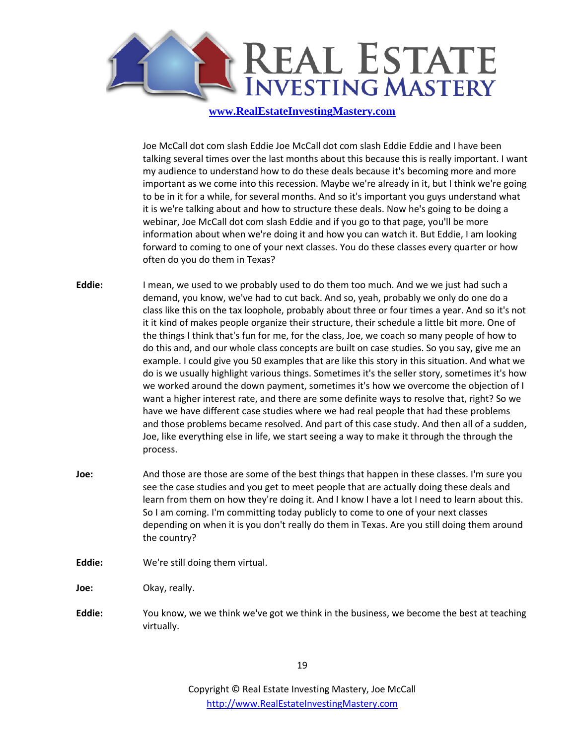

Joe McCall dot com slash Eddie Joe McCall dot com slash Eddie Eddie and I have been talking several times over the last months about this because this is really important. I want my audience to understand how to do these deals because it's becoming more and more important as we come into this recession. Maybe we're already in it, but I think we're going to be in it for a while, for several months. And so it's important you guys understand what it is we're talking about and how to structure these deals. Now he's going to be doing a webinar, Joe McCall dot com slash Eddie and if you go to that page, you'll be more information about when we're doing it and how you can watch it. But Eddie, I am looking forward to coming to one of your next classes. You do these classes every quarter or how often do you do them in Texas?

- **Eddie:** I mean, we used to we probably used to do them too much. And we we just had such a demand, you know, we've had to cut back. And so, yeah, probably we only do one do a class like this on the tax loophole, probably about three or four times a year. And so it's not it it kind of makes people organize their structure, their schedule a little bit more. One of the things I think that's fun for me, for the class, Joe, we coach so many people of how to do this and, and our whole class concepts are built on case studies. So you say, give me an example. I could give you 50 examples that are like this story in this situation. And what we do is we usually highlight various things. Sometimes it's the seller story, sometimes it's how we worked around the down payment, sometimes it's how we overcome the objection of I want a higher interest rate, and there are some definite ways to resolve that, right? So we have we have different case studies where we had real people that had these problems and those problems became resolved. And part of this case study. And then all of a sudden, Joe, like everything else in life, we start seeing a way to make it through the through the process.
- **Joe:** And those are those are some of the best things that happen in these classes. I'm sure you see the case studies and you get to meet people that are actually doing these deals and learn from them on how they're doing it. And I know I have a lot I need to learn about this. So I am coming. I'm committing today publicly to come to one of your next classes depending on when it is you don't really do them in Texas. Are you still doing them around the country?
- **Eddie:** We're still doing them virtual.

**Joe:** Okay, really.

**Eddie:** You know, we we think we've got we think in the business, we become the best at teaching virtually.